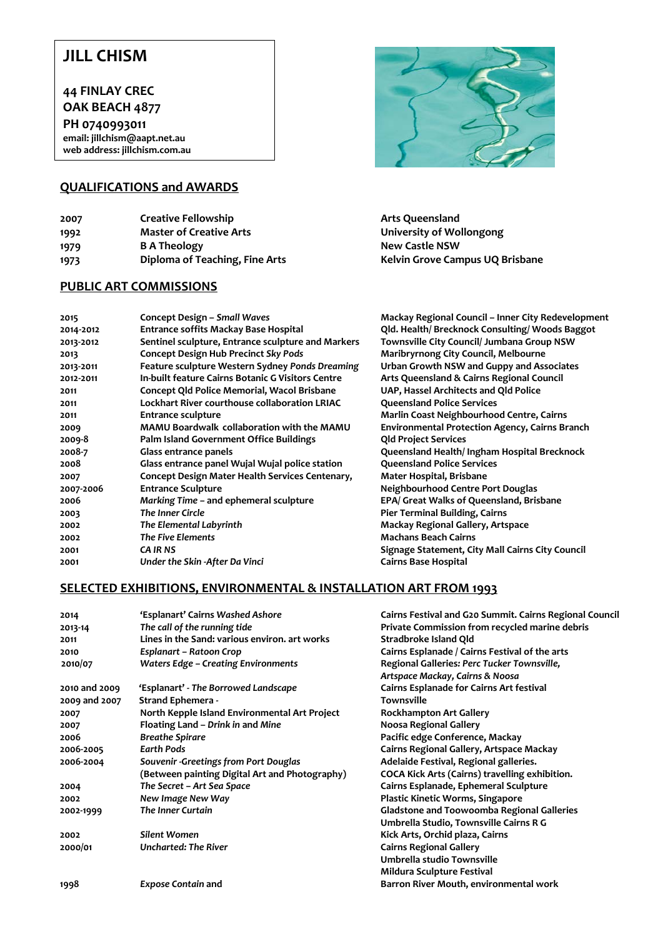## **JILL CHISM**

**44 FINLAY CREC OAK BEACH 4877**

**PH 0740993011 email: jillchism@aapt.net.au web address: jillchism.com.au**

#### **QUALIFICATIONS and AWARDS**

**2007 Creative Fellowship Arts Queensland 1992 Master of Creative Arts University of Wollongong 1979 B A Theology CONFIDENT <b>RESERVENT B A** Theology

### **PUBLIC ART COMMISSIONS**



**1973 Diploma of Teaching, Fine Arts Kelvin Grove Campus UQ Brisbane**

**2015 Concept Design –** *Small Waves* **Mackay Regional Council – Inner City Redevelopment** 

| 2015      | <b>Concept Design - Small Waves</b>                                                           | <b>Mackay Regional Council - Inner City Redevelopme</b> |  |
|-----------|-----------------------------------------------------------------------------------------------|---------------------------------------------------------|--|
| 2014-2012 | Qld. Health/Brecknock Consulting/Woods Baggot<br><b>Entrance soffits Mackay Base Hospital</b> |                                                         |  |
| 2013-2012 | Sentinel sculpture, Entrance sculpture and Markers                                            | Townsville City Council/ Jumbana Group NSW              |  |
| 2013      | <b>Concept Design Hub Precinct Sky Pods</b>                                                   | Maribryrnong City Council, Melbourne                    |  |
| 2013-2011 | Feature sculpture Western Sydney Ponds Dreaming                                               | Urban Growth NSW and Guppy and Associates               |  |
| 2012-2011 | In-built feature Cairns Botanic G Visitors Centre                                             | Arts Queensland & Cairns Regional Council               |  |
| 2011      | Concept Qld Police Memorial, Wacol Brisbane                                                   | UAP, Hassel Architects and Qld Police                   |  |
| 2011      | Lockhart River courthouse collaboration LRIAC                                                 | <b>Queensland Police Services</b>                       |  |
| 2011      | <b>Entrance sculpture</b>                                                                     | Marlin Coast Neighbourhood Centre, Cairns               |  |
| 2009      | <b>MAMU Boardwalk collaboration with the MAMU</b>                                             | <b>Environmental Protection Agency, Cairns Branch</b>   |  |
| 2009-8    | Palm Island Government Office Buildings                                                       | <b>Qld Project Services</b>                             |  |
| 2008-7    | Glass entrance panels                                                                         | Queensland Health/Ingham Hospital Brecknock             |  |
| 2008      | Glass entrance panel Wujal Wujal police station                                               | <b>Queensland Police Services</b>                       |  |
| 2007      | Concept Design Mater Health Services Centenary,                                               | Mater Hospital, Brisbane                                |  |
| 2007-2006 | <b>Entrance Sculpture</b>                                                                     | Neighbourhood Centre Port Douglas                       |  |
| 2006      | Marking Time – and ephemeral sculpture                                                        | EPA/ Great Walks of Queensland, Brisbane                |  |
| 2003      | The Inner Circle                                                                              | <b>Pier Terminal Building, Cairns</b>                   |  |
| 2002      | The Elemental Labyrinth                                                                       | Mackay Regional Gallery, Artspace                       |  |
| 2002      | <b>The Five Elements</b>                                                                      | <b>Machans Beach Cairns</b>                             |  |
| 2001      | <b>CA IR NS</b>                                                                               | Signage Statement, City Mall Cairns City Council        |  |
| 2001      | Under the Skin -After Da Vinci                                                                | <b>Cairns Base Hospital</b>                             |  |
|           |                                                                                               |                                                         |  |

#### **SELECTED EXHIBITIONS, ENVIRONMENTAL & INSTALLATION ART FROM 1993**

| 2014          | 'Esplanart' Cairns Washed Ashore               | Cairns Festival and G20 Summit. Cairns Regional Council |
|---------------|------------------------------------------------|---------------------------------------------------------|
| 2013-14       | The call of the running tide                   | Private Commission from recycled marine debris          |
| 2011          | Lines in the Sand: various environ, art works  | Stradbroke Island Qld                                   |
| 2010          | Esplanart – Ratoon Crop                        | Cairns Esplanade / Cairns Festival of the arts          |
| 2010/07       | <b>Waters Edge - Creating Environments</b>     | Regional Galleries: Perc Tucker Townsville,             |
|               |                                                | Artspace Mackay, Cairns & Noosa                         |
| 2010 and 2009 | 'Esplanart' - The Borrowed Landscape           | Cairns Esplanade for Cairns Art festival                |
| 2009 and 2007 | <b>Strand Ephemera -</b>                       | <b>Townsville</b>                                       |
| 2007          | North Kepple Island Environmental Art Project  | <b>Rockhampton Art Gallery</b>                          |
| 2007          | Floating Land - Drink in and Mine              | Noosa Regional Gallery                                  |
| 2006          | <b>Breathe Spirare</b>                         | Pacific edge Conference, Mackay                         |
| 2006-2005     | <b>Earth Pods</b>                              | Cairns Regional Gallery, Artspace Mackay                |
| 2006-2004     | Souvenir - Greetings from Port Douglas         | Adelaide Festival, Regional galleries.                  |
|               | (Between painting Digital Art and Photography) | COCA Kick Arts (Cairns) travelling exhibition.          |
| 2004          | The Secret - Art Sea Space                     | Cairns Esplanade, Ephemeral Sculpture                   |
| 2002          | New Image New Way                              | <b>Plastic Kinetic Worms, Singapore</b>                 |
| 2002-1999     | The Inner Curtain                              | <b>Gladstone and Toowoomba Regional Galleries</b>       |
|               |                                                | Umbrella Studio, Townsville Cairns R G                  |
| 2002          | Silent Women                                   | Kick Arts, Orchid plaza, Cairns                         |
| 2000/01       | Uncharted: The River                           | <b>Cairns Regional Gallery</b>                          |
|               |                                                | Umbrella studio Townsville                              |
|               |                                                | <b>Mildura Sculpture Festival</b>                       |
| 1998          | <b>Expose Contain and</b>                      | Barron River Mouth, environmental work                  |
|               |                                                |                                                         |